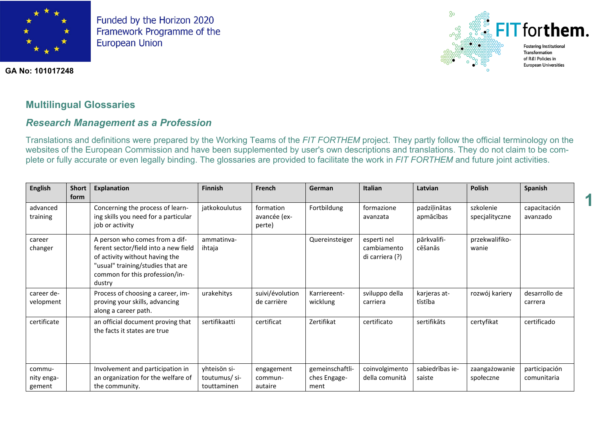



**1**

#### **GA No: 101017248**

# **Multilingual Glossaries**

## *Research Management as a Profession*

Translations and definitions were prepared by the Working Teams of the *FIT FORTHEM* project. They partly follow the official terminology on the websites of the European Commission and have been supplemented by user's own descriptions and translations. They do not claim to be complete or fully accurate or even legally binding. The glossaries are provided to facilitate the work in *FIT FORTHEM* and future joint activities.

| <b>English</b>                 | <b>Short</b><br>form | <b>Explanation</b>                                                                                                                                                                        | <b>Finnish</b>                              | French                              | German                                  | <b>Italian</b>                                | Latvian                   | <b>Polish</b>               | Spanish                      |
|--------------------------------|----------------------|-------------------------------------------------------------------------------------------------------------------------------------------------------------------------------------------|---------------------------------------------|-------------------------------------|-----------------------------------------|-----------------------------------------------|---------------------------|-----------------------------|------------------------------|
| advanced<br>training           |                      | Concerning the process of learn-<br>ing skills you need for a particular<br>job or activity                                                                                               | jatkokoulutus                               | formation<br>avancée (ex-<br>perte) | Fortbildung                             | formazione<br>avanzata                        | padziļinātas<br>apmācības | szkolenie<br>specjalityczne | capacitación<br>avanzado     |
| career<br>changer              |                      | A person who comes from a dif-<br>ferent sector/field into a new field<br>of activity without having the<br>"usual" training/studies that are<br>common for this profession/in-<br>dustry | ammatinya-<br>ihtaja                        |                                     | Quereinsteiger                          | esperti nel<br>cambiamento<br>di carriera (?) | pārkvalifi-<br>cēšanās    | przekwalifiko-<br>wanie     |                              |
| career de-<br>velopment        |                      | Process of choosing a career, im-<br>proving your skills, advancing<br>along a career path.                                                                                               | urakehitys                                  | suivi/évolution<br>de carrière      | Karriereent-<br>wicklung                | sviluppo della<br>carriera                    | karjeras at-<br>tīstība   | rozwój kariery              | desarrollo de<br>carrera     |
| certificate                    |                      | an official document proving that<br>the facts it states are true                                                                                                                         | sertifikaatti                               | certificat                          | Zertifikat                              | certificato                                   | sertifikāts               | certyfikat                  | certificado                  |
| commu-<br>nity enga-<br>gement |                      | Involvement and participation in<br>an organization for the welfare of<br>the community.                                                                                                  | yhteisön si-<br>toutumus/si-<br>touttaminen | engagement<br>commun-<br>autaire    | gemeinschaftli-<br>ches Engage-<br>ment | coinvolgimento<br>della comunità              | sabiedrības ie-<br>saiste | zaangażowanie<br>społeczne  | participación<br>comunitaria |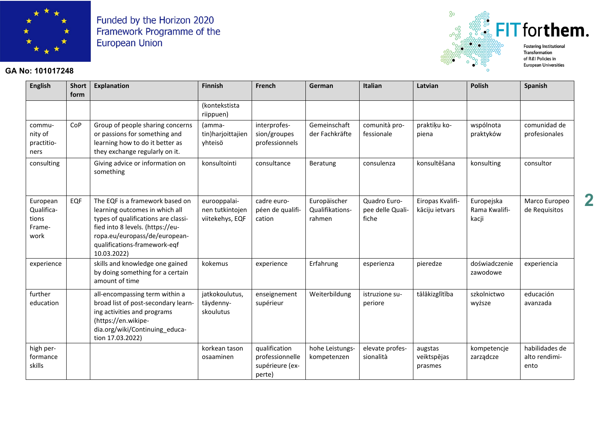

#### **GA No: 101017248**



**English Short form Explanation Finnish French German Italian Latvian Polish Spanish** (kontekstista riippuen) community of practitioners  $CoP$  Group of people sharing concerns or passions for something and learning how to do it better as they exchange regularly on it. (ammatin)harjoittajien yhteisö interprofession/groupes professionnels Gemeinschaft der Fachkräfte comunità professionale praktiķu kopiena wspólnota praktyków comunidad de profesionales consulting Giving advice or information on something konsultointi consultance Beratung consulenza konsultēšana konsulting consultor European Qualifications Framework EQF  $\Box$  The EQF is a framework based on learning outcomes in which all types of qualifications are classified into 8 levels. (https://europa.eu/europass/de/europeanqualifications-framework-eqf 10.03.2022) eurooppalainen tutkintojen viitekehys, EQF cadre européen de qualification Europäischer Qualifikationsrahmen Quadro Europee delle Qualifiche Eiropas Kvalifikāciju ietvars Europejska Rama Kwalifikacji Marco Europeo de Requisitos experience  $\|\cdot\|$  skills and knowledge one gained by doing something for a certain amount of time kokemus experience Erfahrung esperienza pieredze doświadczenie zawodowe experiencia further education all-encompassing term within a broad list of post-secondary learning activities and programs (https://en.wikipedia.org/wiki/Continuing\_education 17.03.2022) jatkokoulutus, täydennyskoulutus enseignement supérieur Weiterbildung | istruzione superiore tālākizglītība szkolnictwo wyższe educación avanzada high performance skills korkean tason osaaminen qualification professionnelle supérieure (experte) hohe Leistungskompetenzen elevate professionalità augstas veiktspējas prasmes kompetencje zarządcze habilidades de alto rendimiento

**2**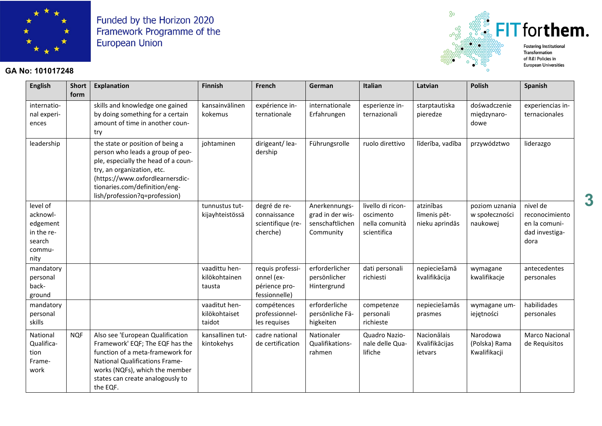

#### **GA No: 101017248**



**English Short form Explanation Finnish French German Italian Latvian Polish Spanish** international experiences skills and knowledge one gained by doing something for a certain amount of time in another country kansainvälinen kokemus expérience internationale internationale Erfahrungen esperienze internazionali starptautiska pieredze dośwadczenie międzynarodowe experiencias internacionales leadership  $\parallel$  the state or position of being a person who leads a group of people, especially the head of a country, an organization, etc. (https://www.oxfordlearnersdictionaries.com/definition/english/profession?q=profession) johtaminen dirigeant/leadership Führungsrolle  $\vert$  ruolo direttivo  $\vert$  līderība, vadība  $\vert$  przywództwo  $\vert$  liderazgo level of acknowledgement in the research community tunnustus tutkijayhteistössä degré de reconnaissance scientifique (recherche) Anerkennungsgrad in der wissenschaftlichen Community livello di riconoscimento nella comunità scientifica atzinības līmenis pētnieku aprindās poziom uznania w społeczności naukowej nivel de reconocimiento en la comunidad investigadora mandatory personal background vaadittu henkilökohtainen tausta requis professionnel (expérience professionnelle) erforderlicher persönlicher Hintergrund dati personali richiesti nepieciešamā kvalifikācija wymagane kwalifikacje antecedentes personales mandatory personal skills vaaditut henkilökohtaiset taidot compétences professionnelles requises erforderliche persönliche Fähigkeiten competenze personali richieste nepieciešamās prasmes wymagane umiejętności habilidades personales National Qualification Framework NQF | Also see 'European Qualification Framework' EQF; The EQF has the function of a meta-framework for National Qualifications Frameworks (NQFs), which the member states can create analogously to the EQF. kansallinen tutkintokehys cadre national de certification Nationaler Qualifikationsrahmen Quadro Nazionale delle Qualifiche Nacionālais Kvalifikācijas ietvars Narodowa (Polska) Rama Kwalifikacji Marco Nacional de Requisitos

**3**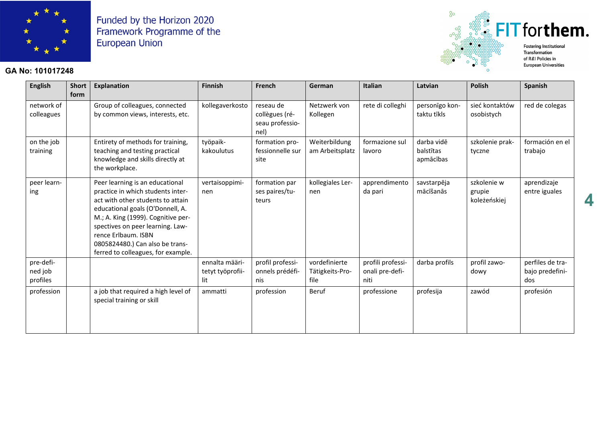

#### **GA No: 101017248**



**4**

**English Short form Explanation Finnish French German Italian Latvian Polish Spanish** network of colleagues Group of colleagues, connected by common views, interests, etc. kollegaverkosto reseau de collègues (réseau professionel) Netzwerk von Kollegen rete di colleghi | personīgo kontaktu tīkls sieć kontaktów osobistych red de colegas on the job training Entirety of methods for training, teaching and testing practical knowledge and skills directly at the workplace. työpaikkakoulutus formation professionnelle sur site Weiterbildung am Arbeitsplatz formazione sul lavoro darba vidē balstītas apmācības szkolenie praktyczne formación en el trabajo peer learning Peer learning is an educational practice in which students interact with other students to attain educational goals (O'Donnell, A. M.; A. King (1999). Cognitive perspectives on peer learning. Lawrence Erlbaum. ISBN 0805824480.) Can also be transferred to colleagues, for example. vertaisoppiminen formation par ses paires/tuteurs kollegiales Lernen apprendimento da pari savstarpēja mācīšanās szkolenie w grupie koleżeńskiej aprendizaje entre iguales pre-defined job profiles ennalta määritetyt työprofiilit profil professionnels prédéfinis vordefinierte Tätigkeits-Profile profili professionali pre-definiti darba profils  $\Box$  profil zawodowy perfiles de trabajo predefinidos profession  $\vert$  a job that required a high level of special training or skill ammatti profession Beruf professione profesija zawód profesión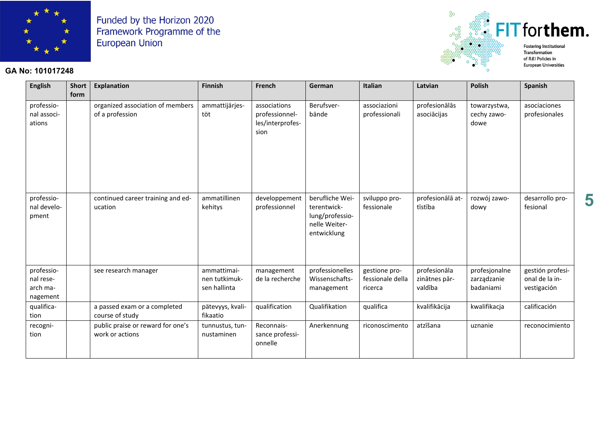

## GA No: 101017248



**European Universities** 

| <b>English</b>                                  | <b>Short</b><br>form | <b>Explanation</b>                                   | <b>Finnish</b>                               | French                                                     | German                                                                            | Italian                                      | Latvian                                  | <b>Polish</b>                             | <b>Spanish</b>                                    |
|-------------------------------------------------|----------------------|------------------------------------------------------|----------------------------------------------|------------------------------------------------------------|-----------------------------------------------------------------------------------|----------------------------------------------|------------------------------------------|-------------------------------------------|---------------------------------------------------|
| professio-<br>nal associ-<br>ations             |                      | organized association of members<br>of a profession  | ammattijärjes-<br>töt                        | associations<br>professionnel-<br>les/interprofes-<br>sion | Berufsver-<br>bände                                                               | associazioni<br>professionali                | profesionālās<br>asociācijas             | towarzystwa,<br>cechy zawo-<br>dowe       | asociaciones<br>profesionales                     |
| professio-<br>nal develo-<br>pment              |                      | continued career training and ed-<br>ucation         | ammatillinen<br>kehitys                      | developpement<br>professionnel                             | berufliche Wei-<br>terentwick-<br>lung/professio-<br>nelle Weiter-<br>entwicklung | sviluppo pro-<br>fessionale                  | profesionālā at-<br>tīstība              | rozwój zawo-<br>dowy                      | desarrollo pro-<br>fesional                       |
| professio-<br>nal rese-<br>arch ma-<br>nagement |                      | see research manager                                 | ammattimai-<br>nen tutkimuk-<br>sen hallinta | management<br>de la recherche                              | professionelles<br>Wissenschafts-<br>management                                   | gestione pro-<br>fessionale della<br>ricerca | profesionāla<br>zinātnes pār-<br>valdība | profesjonalne<br>zarządzanie<br>badaniami | gestión profesi-<br>onal de la in-<br>vestigación |
| qualifica-<br>tion                              |                      | a passed exam or a completed<br>course of study      | pätevyys, kvali-<br>fikaatio                 | qualification                                              | Qualifikation                                                                     | qualifica                                    | kvalifikācija                            | kwalifikacja                              | calificación                                      |
| recogni-<br>tion                                |                      | public praise or reward for one's<br>work or actions | tunnustus, tun-<br>nustaminen                | Reconnais-<br>sance professi-<br>onnelle                   | Anerkennung                                                                       | riconoscimento                               | atzīšana                                 | uznanie                                   | reconocimiento                                    |

5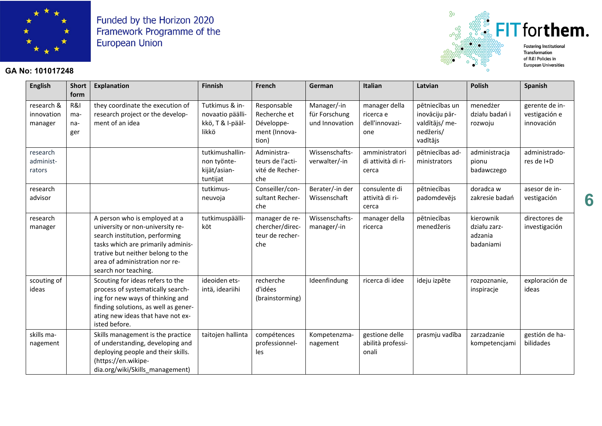

## **GA No: 101017248**



 $^{8}$ 

**Fostering Institutional European Universities** 

| <b>English</b>                      | <b>Short</b><br>form     | <b>Explanation</b>                                                                                                                                                                                                                       | <b>Finnish</b>                                                  | French                                                              | German                                         | Italian                                             | Latvian                                                                     | <b>Polish</b>                                     | Spanish                                       |
|-------------------------------------|--------------------------|------------------------------------------------------------------------------------------------------------------------------------------------------------------------------------------------------------------------------------------|-----------------------------------------------------------------|---------------------------------------------------------------------|------------------------------------------------|-----------------------------------------------------|-----------------------------------------------------------------------------|---------------------------------------------------|-----------------------------------------------|
| research &<br>innovation<br>manager | R&I<br>ma-<br>na-<br>ger | they coordinate the execution of<br>research project or the develop-<br>ment of an idea                                                                                                                                                  | Tutkimus & in-<br>novaatio päälli-<br>kkö, T & I-pääl-<br>likkö | Responsable<br>Recherche et<br>Développe-<br>ment (Innova-<br>tion) | Manager/-in<br>für Forschung<br>und Innovation | manager della<br>ricerca e<br>dell'innovazi-<br>one | pētniecības un<br>inovāciju pār-<br>valdītājs/ me-<br>nedžeris/<br>vadītājs | menedżer<br>działu badań i<br>rozwoju             | gerente de in-<br>vestigación e<br>innovación |
| research<br>administ-<br>rators     |                          |                                                                                                                                                                                                                                          | tutkimushallin-<br>non työnte-<br>kijät/asian-<br>tuntijat      | Administra-<br>teurs de l'acti-<br>vité de Recher-<br>che           | Wissenschafts-<br>verwalter/-in                | amministratori<br>di attività di ri-<br>cerca       | pētniecības ad-<br>ministrators                                             | administracja<br>pionu<br>badawczego              | administrado-<br>res de I+D                   |
| research<br>advisor                 |                          |                                                                                                                                                                                                                                          | tutkimus-<br>neuvoja                                            | Conseiller/con-<br>sultant Recher-<br>che                           | Berater/-in der<br>Wissenschaft                | consulente di<br>attività di ri-<br>cerca           | pētniecības<br>padomdevējs                                                  | doradca w<br>zakresie badań                       | asesor de in-<br>vestigación                  |
| research<br>manager                 |                          | A person who is employed at a<br>university or non-university re-<br>search institution, performing<br>tasks which are primarily adminis-<br>trative but neither belong to the<br>area of administration nor re-<br>search nor teaching. | tutkimuspäälli-<br>köt                                          | manager de re-<br>chercher/direc-<br>teur de recher-<br>che         | Wissenschafts-<br>manager/-in                  | manager della<br>ricerca                            | pētniecības<br>menedžeris                                                   | kierownik<br>działu zarz-<br>adzania<br>badaniami | directores de<br>investigación                |
| scouting of<br>ideas                |                          | Scouting for ideas refers to the<br>process of systematically search-<br>ing for new ways of thinking and<br>finding solutions, as well as gener-<br>ating new ideas that have not ex-<br>isted before.                                  | ideoiden ets-<br>intä, ideariihi                                | recherche<br>d'idées<br>(brainstorming)                             | Ideenfindung                                   | ricerca di idee                                     | ideju izpēte                                                                | rozpoznanie,<br>inspiracje                        | exploración de<br>ideas                       |
| skills ma-<br>nagement              |                          | Skills management is the practice<br>of understanding, developing and<br>deploying people and their skills.<br>(https://en.wikipe-<br>dia.org/wiki/Skills management)                                                                    | taitojen hallinta                                               | compétences<br>professionnel-<br>les                                | Kompetenzma-<br>nagement                       | gestione delle<br>abilità professi-<br>onali        | prasmju vadība                                                              | zarzadzanie<br>kompetencjami                      | gestión de ha-<br>bilidades                   |